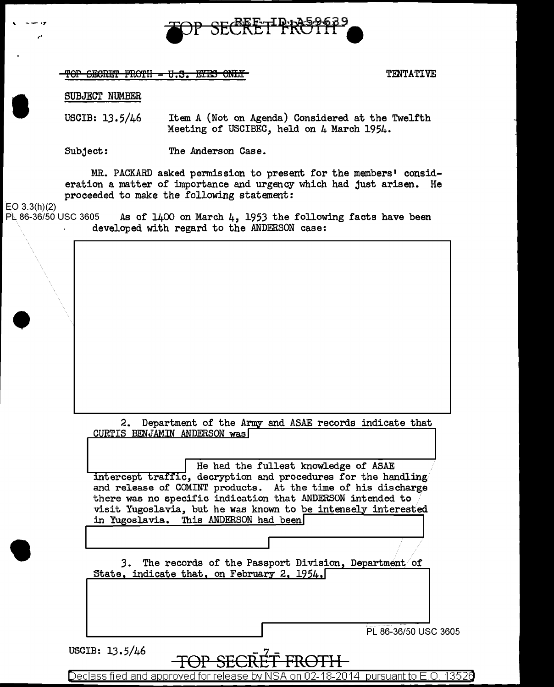

TOP SECRET FROTH - U.S. EYES ONLY

TENTATIVE

1

SUBJECT NUMBER

USCIB: 13.5/46 Item A (Not on Agenda) Considered at the Twelfth Meeting of USCIBEC, held on 4 March 1954.

The Anderson Case. Subject:

MR. PACKARD asked permission to present for the members' consideration a matter of importance and urgency which had just arisen. He proceeded to make the following statement:

 $EO 3.3(h)(2)$ 

PL 86-36/50 USC 3605 As of  $1400$  on March 4, 1953 the following facts have been developed with regard to the ANDERSON case:

| Department of the Army and ASAE records indicate that<br>2.<br>CURTIS BENJAMIN ANDERSON was                                                                                                                                                                                                                                                   |        |
|-----------------------------------------------------------------------------------------------------------------------------------------------------------------------------------------------------------------------------------------------------------------------------------------------------------------------------------------------|--------|
| He had the fullest knowledge of ASAE<br>intercept traffic, decryption and procedures for the handling<br>and release of COMINT products. At the time of his discharge<br>there was no specific indication that ANDERSON intended to<br>visit Yugoslavia, but he was known to be intensely interested<br>in Yugoslavia. This ANDERSON had been |        |
|                                                                                                                                                                                                                                                                                                                                               |        |
| The records of the Passport Division, Department of<br>3.<br>State, indicate that, on February 2, 1954,                                                                                                                                                                                                                                       |        |
| PL 86-36/50 USC 3605                                                                                                                                                                                                                                                                                                                          |        |
| USCIB: 13.5/46<br>Declassified and approved for release by NSA<br>pursuant to E.O.                                                                                                                                                                                                                                                            | -13526 |